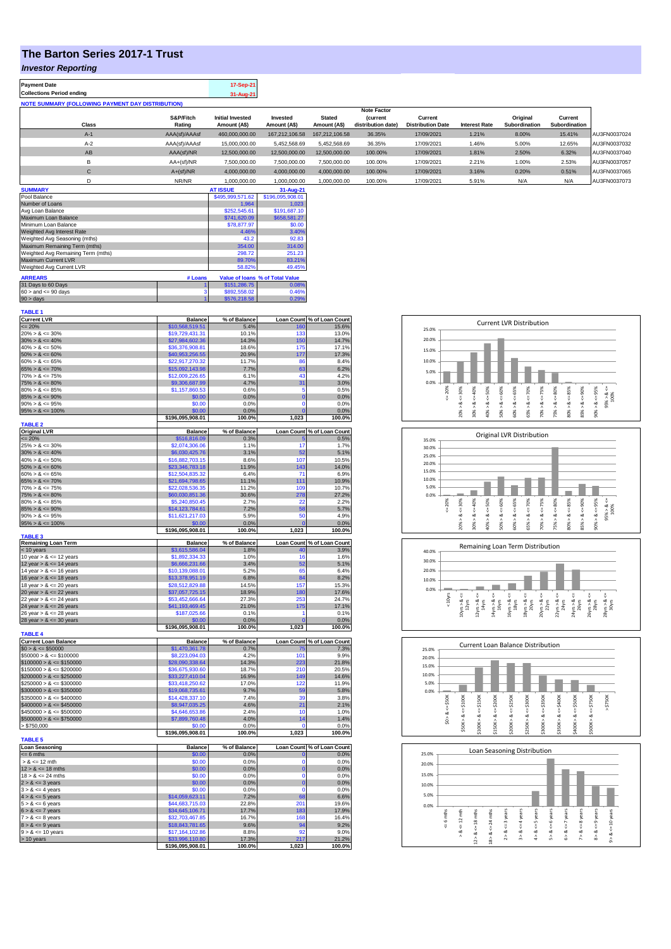## **The Barton Series 2017-1 Trust**

## *Investor Reporting*

| <b>Payment Date</b>                                      | 17-Sep-21 |
|----------------------------------------------------------|-----------|
| <b>Collections Period ending</b>                         | 31-Aug-21 |
| <b>NOTE SUMMARY (FOLLOWING PAYMENT DAY DISTRIBUTION)</b> |           |
|                                                          |           |

|              |               |                         |                |                | <b>Note Factor</b> |                          |                      |               |               |              |
|--------------|---------------|-------------------------|----------------|----------------|--------------------|--------------------------|----------------------|---------------|---------------|--------------|
|              | S&P/Fitch     | <b>Initial Invested</b> | Invested       | <b>Stated</b>  | <b>Current</b>     | Current                  |                      | Original      | Current       |              |
| <b>Class</b> | Rating        | Amount (A\$)            | Amount (A\$)   | Amount (A\$)   | distribution date) | <b>Distribution Date</b> | <b>Interest Rate</b> | Subordination | Subordination |              |
| $A-1$        | AAA(sf)/AAAsf | 460.000.000.00          | 167.212.106.58 | 167.212.106.58 | 36.35%             | 17/09/2021               | 1.21%                | 8.00%         | 15.41%        | AU3FN0037024 |
| $A-2$        | AAA(sf)/AAAsf | 15,000,000,00           | 5.452.568.69   | 5.452.568.69   | 36.35%             | 17/09/2021               | 1.46%                | 5.00%         | 12.65%        | AU3FN0037032 |
| AB           | AAA(sf)/NR    | 12,500,000,00           | 12.500.000.00  | 12.500.000.00  | 100.00%            | 17/09/2021               | 1.81%                | 2.50%         | 6.32%         | AU3FN0037040 |
| в            | AA+(sf)/NR    | 7.500.000.00            | 7.500.000.00   | 7.500.000.00   | 100.00%            | 17/09/2021               | 2.21%                | 1.00%         | 2.53%         | AU3FN0037057 |
| $\mathsf{C}$ | $A+(sf)/NR$   | 4.000.000.00            | 4.000.000.00   | 4.000.000.00   | 100.00%            | 17/09/2021               | 3.16%                | 0.20%         | 0.51%         | AU3FN0037065 |
|              | NR/NR         | 1,000,000.00            | 1,000,000.00   | 1.000.000.00   | 100.00%            | 17/09/2021               | 5.91%                | N/A           | N/A           | AU3FN0037073 |
| ------------ |               | ------------            |                |                |                    |                          |                      |               |               |              |

| <b>SUMMARY</b>                     |         | <b>AT ISSUE</b>  | 31-Aug-21                       |
|------------------------------------|---------|------------------|---------------------------------|
| Pool Balance                       |         | \$495,999,571.62 | \$196,095,908.01                |
| Number of Loans                    |         | 1.964            | 1.023                           |
| Avg Loan Balance                   |         | \$252,545.61     | \$191.687.10                    |
| Maximum Loan Balance               |         | \$741,620.09     | \$658,581.27                    |
| Minimum Loan Balance               |         | \$78,877.97      | \$0.00                          |
| Weighted Avg Interest Rate         |         | 4.46%            | 3.40%                           |
| Weighted Avg Seasoning (mths)      |         | 43.2             | 92.83                           |
| Maximum Remaining Term (mths)      |         | 354.00           | 314.00                          |
| Weighted Avg Remaining Term (mths) |         | 298.72           | 251.23                          |
| Maximum Current LVR                |         | 89.70%           | 83.21%                          |
| Weighted Avg Current LVR           |         | 58.82%           | 49.45%                          |
| <b>ARREARS</b>                     | # Loans |                  | Value of Ioans % of Total Value |
| 31 Days to 60 Days                 |         | \$151,286.75     | 0.08%                           |
| $60 >$ and $\leq 90$ days          |         | \$892,558.02     | 0.46%                           |
| $90 > \text{days}$                 |         | \$576,218.58     | 0.29%                           |

| <b>TABLE 1</b>                                           |                                     |                 |                   |                                    |
|----------------------------------------------------------|-------------------------------------|-----------------|-------------------|------------------------------------|
| <b>Current LVR</b>                                       | <b>Balance</b>                      | % of Balance    |                   | Loan Count % of Loan Count         |
| $= 20%$                                                  | \$10,568,519.51                     | 5.4%            | 160               | 15.6%                              |
| $20\% > 8 \le 30\%$                                      | \$19,729,431.31                     | 10.1%           | 133               | 13.0%                              |
| $30\% > 8 \le 40\%$                                      | \$27,984,602.36                     | 14.3%           | 150               | 14.7%                              |
| $40\% > 8 \le 50\%$<br>$50\% > 8 \le 60\%$               | \$36,376,908.81                     | 18.6%<br>20.9%  | 175<br>177        | 17.1%                              |
| $60\% > 8 \le 65\%$                                      | \$40,953,256.55<br>\$22,917,270.32  | 11.7%           | 86                | 17.3%<br>8.4%                      |
| $65\% > 8 \le 70\%$                                      | \$15,092,143.98                     | 7.7%            | 63                | 6.2%                               |
| $70\% > 8 \le 75\%$                                      | \$12,009,226.65                     | 6.1%            | 43                | 4.2%                               |
| $75\% > 8 \le 80\%$                                      | \$9,306,687.99                      | 4.7%            | 31                | 3.0%                               |
| $80\% > 8 \le 85\%$                                      | \$1,157,860.53                      | 0.6%            | 5                 | 0.5%                               |
| $85\% > 8 \le 90\%$                                      | \$0.00                              | 0.0%            | $\mathbf 0$       | 0.0%                               |
| $90\% > 8 \le 95\%$                                      | \$0.00                              | 0.0%            | $\Omega$          | 0.0%                               |
| $95\% > 8 \le 100\%$                                     | \$0.00                              | 0.0%            | $\overline{0}$    | 0.0%                               |
|                                                          | \$196,095,908.01                    | 100.0%          | 1.023             | 100.0%                             |
| <b>TABLE 2</b>                                           | <b>Balance</b>                      | % of Balance    |                   |                                    |
| <b>Original LVR</b><br>$= 20%$                           | \$516,816.09                        | 0.3%            |                   | Loan Count % of Loan Count<br>0.5% |
| $25\% > 8 \le 30\%$                                      | \$2,074,306.06                      | 1.1%            | 17                | 1.7%                               |
| $30\% > 8 \le 40\%$                                      | \$6,030,425.76                      | 3.1%            | 52                | 5.1%                               |
| $40\% > 8 \le 50\%$                                      | \$16,882,703.15                     | 8.6%            | 107               | 10.5%                              |
| $50\% > 8 \le 60\%$                                      | \$23,346,783.18                     | 11.9%           | 143               | 14.0%                              |
| $60\% > 8 \le 65\%$                                      | \$12,504,835.32                     | 6.4%            | 71                | 6.9%                               |
| $65\% > 8 \le 70\%$                                      | \$21,694,798.65                     | 11.1%           | 111               | 10.9%                              |
| $70\% > 8 \le 75\%$                                      | \$22,028,536.35                     | 11.2%           | 109               | 10.7%                              |
| $75\% > 8 \le 80\%$                                      | \$60,030,851.36                     | 30.6%           | 278               | 27.2%                              |
| $80\% > 8 \le 85\%$                                      | \$5,240,850.45                      | 2.7%            | 22                | 2.2%                               |
| $85\% > 8 \le 90\%$                                      | \$14,123,784.61                     | 7.2%            | 58                | 5.7%                               |
| $90\% > 8 \le 95\%$                                      | \$11,621,217.03                     | 5.9%            | 50                | 4.9%                               |
| $95\% > 8 \le 100\%$                                     | \$0.00<br>\$196,095,908.01          | 0.0%<br>100.0%  | 1,023             | 0.0%<br>100.0%                     |
| <b>TABLE 3</b>                                           |                                     |                 |                   |                                    |
| <b>Remaining Loan Term</b>                               | <b>Balance</b>                      | % of Balance    | <b>Loan Count</b> | % of Loan Count                    |
| < 10 years                                               | \$3,615,586.04                      | 1.8%            | 40                | 3.9%                               |
| 10 year $> 8 \le 12$ years                               | \$1,892,334.33                      | 1.0%            | 16                | 1.6%                               |
| 12 year $> 8 \le 14$ years                               | \$6,666,231.66                      | 3.4%            | 52                | 5.1%                               |
| 14 year $> 8 \le 16$ years                               | \$10,139,088.01                     | 5.2%            | 65                | 6.4%                               |
| 16 year $> 8 \le 18$ years                               | \$13,378,951.19                     | 6.8%            | 84                | 8.2%                               |
| 18 year $> 8 \le 20$ years                               | \$28,512,829.88                     | 14.5%           | 157               | 15.3%                              |
| 20 year $> 8 \le 22$ years<br>22 year $> 8 \le 24$ years | \$37,057,725.15<br>\$53,452,666.64  | 18.9%<br>27.3%  | 180<br>253        | 17.6%<br>24.7%                     |
| 24 year $> 8 \le 26$ years                               | \$41,193,469.45                     | 21.0%           | 175               | 17.1%                              |
| 26 year $> 8 \le 28$ years                               | \$187,025.66                        | 0.1%            | 1                 | 0.1%                               |
| 28 year $> 8 \le 30$ years                               | \$0.00                              | 0.0%            | O                 | 0.0%                               |
|                                                          | \$196,095,908.01                    | 100.0%          | 1,023             | 100.0%                             |
| <b>TABLE 4</b>                                           |                                     |                 |                   |                                    |
| <b>Current Loan Balance</b>                              | <b>Balance</b>                      | % of Balance    |                   | Loan Count % of Loan Count         |
| $$0 > 8 \le $50000$                                      | \$1,470,361.78                      | 0.7%            | 75                | 7.3%                               |
| $$50000 > 8 \le $100000$                                 | \$8,223,094.03                      | 4.2%            | 101               | 9.9%                               |
| $$100000 > 8 \le $150000$                                | \$28,090,338.64                     | 14.3%           |                   |                                    |
| $$150000 > 8 \le $200000$                                |                                     |                 | 223               | 21.8%                              |
|                                                          | \$36,675,930.60                     | 18.7%           | 210               | 20.5%                              |
| $$200000 > 8 \leq $250000$                               | \$33,227,410.04                     | 16.9%           | 149               | 14.6%                              |
| $$250000 > 8 \leq $300000$                               | \$33,418,250.62                     | 17.0%           | 122               | 11.9%                              |
| $$300000 > 8 \leq $350000$                               | \$19,068,735.61                     | 9.7%            | 59<br>39          | 5.8%                               |
| $$350000 > 8 \le $400000$                                | \$14,428,337.10                     | 7.4%            |                   | 3.8%                               |
| $$400000 > 8 \leq $450000$                               | \$8,947,035.25                      | 4.6%            | 21<br>10          | 2.1%                               |
| $$450000 > 8 \le $500000$<br>$$500000 > 8 \le $750000$   | \$4,646,653.86                      | 2.4%<br>4.0%    | 14                | 1.0%<br>1.4%                       |
| > \$750,000                                              | \$7,899,760.48<br>\$0.00            | 0.0%            | Ō                 | 0.0%                               |
|                                                          | \$196,095,908.01                    | 100.0%          | 1,023             | 100.0%                             |
| <b>TABLE 5</b>                                           |                                     |                 |                   |                                    |
| Loan Seasoning                                           | <b>Balance</b>                      | % of Balance    |                   | Loan Count % of Loan Count         |
| $= 6$ mths                                               | \$0.00                              | 0.0%            | $\mathbf 0$       | 0.0%                               |
| $> 8 \le 12$ mth                                         | \$0.00                              | 0.0%            | $\mathbf 0$       | 0.0%                               |
| $12 > 8 \le 18$ mths                                     | \$0.00                              | 0.0%            | $\mathbf 0$       | 0.0%                               |
| $18 > 8 \le 24$ mths                                     | \$0.00                              | 0.0%            | $\Omega$          | 0.0%                               |
| $2 > 8 \le 3$ years                                      | \$0.00                              | 0.0%            | $\mathbf 0$       | 0.0%                               |
| $3 > 8 \le 4$ years                                      | \$0.00                              | 0.0%            | $\mathbf 0$       | 0.0%                               |
| $4 > 8 \le 5$ years                                      | \$14,059,623.11                     | 7.2%            | 68                | 6.6%                               |
| $5 > 8 \le 6$ years                                      | \$44,683,715.03                     | 22.8%           | 201               | 19.6%                              |
| $6 > 8 \le 7$ years                                      | \$34,645,106.71                     | 17.7%           | 183               | 17.9%                              |
| $7 > 8 \le 8$ years                                      | \$32,703,467.85                     | 16.7%<br>9.6%   | 168<br>94         | 16.4%<br>9.2%                      |
| $8 > 8 \le 9$ years<br>$9 > 8 \le 10$ years              | \$18,843,781.65<br>\$17,164,102.86  | 8.8%            | 92                | 9.0%                               |
| > 10 years                                               | \$33,996,110.80<br>\$196,095,908.01 | 17.3%<br>100.0% | 217<br>1,023      | 21.2%<br>100.0%                    |

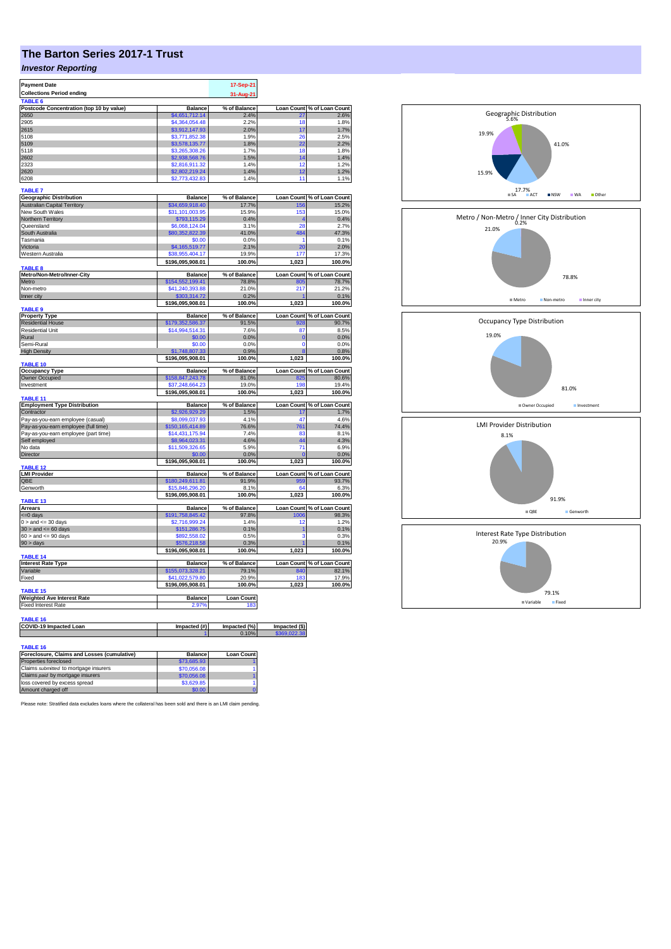## **The Barton Series 2017-1 Trust**

## *Investor Reporting*

| <b>Payment Date</b>                                            |                                     | 17-Sep-21             |                   |                                                                                                                                                                                                                                  |
|----------------------------------------------------------------|-------------------------------------|-----------------------|-------------------|----------------------------------------------------------------------------------------------------------------------------------------------------------------------------------------------------------------------------------|
| <b>Collections Period ending</b>                               |                                     | 31-Aug-21             |                   |                                                                                                                                                                                                                                  |
| TABLE 6                                                        |                                     |                       |                   |                                                                                                                                                                                                                                  |
| Postcode Concentration (top 10 by value)                       | <b>Balance</b>                      | % of Balance          | <b>Loan Count</b> | % of Loan Count                                                                                                                                                                                                                  |
| 2650                                                           | \$4,651,712.14                      | 2.4%                  | 27<br>18          | 2.6%<br>1.8%                                                                                                                                                                                                                     |
| 2905<br>2615                                                   | \$4,364,054.48<br>\$3,912,147.93    | 2.2%<br>2.0%          | 17                | 1.7%                                                                                                                                                                                                                             |
| 5108                                                           | \$3,771,852.38                      | 1.9%                  | 26                | 2.5%                                                                                                                                                                                                                             |
| 5109                                                           | \$3,578,135.77                      | 1.8%                  | 22                | 2.2%                                                                                                                                                                                                                             |
| 5118                                                           | \$3,265,308.26                      | 1.7%                  | 18                | 1.8%                                                                                                                                                                                                                             |
| 2602                                                           | \$2,938,568.76                      | 1.5%                  | 14                | 1.4%                                                                                                                                                                                                                             |
| 2323                                                           | \$2,816,911.32                      | 1.4%                  | 12                | 1.2%                                                                                                                                                                                                                             |
| 2620                                                           | \$2,802,219.24                      | 1.4%                  | 12                | 1.2%                                                                                                                                                                                                                             |
| 6208                                                           | \$2,773,432.83                      | 1.4%                  | 11                | 1.1%                                                                                                                                                                                                                             |
| <b>TABLE 7</b>                                                 |                                     |                       |                   |                                                                                                                                                                                                                                  |
| <b>Geographic Distribution</b>                                 | <b>Balance</b>                      | % of Balance          |                   | Loan Count % of Loan Count                                                                                                                                                                                                       |
| <b>Australian Capital Territory</b>                            | \$34,659,918.40                     | 17.7%                 | 156               | 15.2%                                                                                                                                                                                                                            |
| New South Wales                                                | \$31,101,003.95                     | 15.9%                 | 153               | 15.0%                                                                                                                                                                                                                            |
| Northern Territory                                             | \$793,115.29                        | 0.4%                  | ø                 | 0.4%                                                                                                                                                                                                                             |
| Queensland                                                     | \$6,068,124.04                      | 3.1%                  | 28                | 2.7%                                                                                                                                                                                                                             |
| South Australia                                                | \$80,352,822.39                     | 41.0%                 | 484               | 47.3%                                                                                                                                                                                                                            |
| Tasmania                                                       | \$0.00                              | 0.0%                  | 1                 | 0.1%                                                                                                                                                                                                                             |
| Victoria                                                       | \$4,165,519.77                      | 2.1%                  | 20                | 2.0%                                                                                                                                                                                                                             |
| Western Australia                                              | \$38,955,404.17                     | 19.9%                 | 177               | 17.3%                                                                                                                                                                                                                            |
|                                                                | \$196,095,908.01                    | 100.0%                | 1,023             | 100.0%                                                                                                                                                                                                                           |
| TABLE 8                                                        |                                     |                       |                   |                                                                                                                                                                                                                                  |
| Metro/Non-Metro/Inner-City                                     | <b>Balance</b>                      | % of Balance          | <b>Loan Count</b> | % of Loan Count                                                                                                                                                                                                                  |
| Metro                                                          | \$154,552,199.41                    | 78.8%                 | 805               | 78.7%                                                                                                                                                                                                                            |
| Non-metro                                                      | \$41,240,393.88                     | 21.0%                 | 217               | 21.2%                                                                                                                                                                                                                            |
| Inner city                                                     | \$303,314.72<br>\$196,095,908.01    | 0.2%<br>100.0%        | 1,023             | 0.1%<br>100.0%                                                                                                                                                                                                                   |
| <b>TABLE 9</b>                                                 |                                     |                       |                   |                                                                                                                                                                                                                                  |
| <b>Property Type</b>                                           | <b>Balance</b>                      | % of Balance          |                   | Loan Count % of Loan Count                                                                                                                                                                                                       |
| <b>Residential House</b>                                       | \$179,352,586.37                    | 91.5%                 | 928               | 90.7%                                                                                                                                                                                                                            |
| <b>Residential Unit</b>                                        | \$14,994,514.31                     | 7.6%                  | 87                | 8.5%                                                                                                                                                                                                                             |
| Rural                                                          | \$0.00                              | 0.0%                  | $\bf{0}$          | 0.0%                                                                                                                                                                                                                             |
| Semi-Rural                                                     | \$0.00                              | 0.0%                  | $\Omega$          | 0.0%                                                                                                                                                                                                                             |
| <b>High Density</b>                                            | \$1,748,807.33                      | 0.9%                  | $\overline{8}$    | 0.8%                                                                                                                                                                                                                             |
|                                                                | \$196,095,908.01                    | 100.0%                | 1,023             | 100.0%                                                                                                                                                                                                                           |
| <b>TABLE 10</b>                                                | <b>Balance</b>                      |                       |                   |                                                                                                                                                                                                                                  |
| <b>Occupancy Type</b><br>Owner Occupied                        | \$158,847,243.78                    | % of Balance<br>81.0% | 825               | Loan Count % of Loan Count<br>80.6%                                                                                                                                                                                              |
|                                                                |                                     |                       |                   |                                                                                                                                                                                                                                  |
|                                                                |                                     |                       | 195               |                                                                                                                                                                                                                                  |
| Investment                                                     | \$37,248,664                        | 19.0%                 |                   |                                                                                                                                                                                                                                  |
| TABLE <sub>11</sub>                                            | \$196,095,908.01                    | 100.0%                | 1,023             |                                                                                                                                                                                                                                  |
|                                                                | <b>Balance</b>                      | % of Balance          |                   |                                                                                                                                                                                                                                  |
| <b>Employment Type Distribution</b><br>Contractor              | \$2,926,929.29                      | 1.5%                  | 17                |                                                                                                                                                                                                                                  |
| Pay-as-you-earn employee (casual)                              | \$8,099,037.93                      | 4.1%                  | 47                |                                                                                                                                                                                                                                  |
| Pay-as-you-earn employee (full time)                           | \$150,165,414.89                    | 76.6%                 | 761               |                                                                                                                                                                                                                                  |
| Pay-as-you-earn employee (part time)                           | \$14,431,175.94                     | 7.4%                  | 83                |                                                                                                                                                                                                                                  |
| Self employed                                                  | \$8,964,023.31                      | 4.6%                  | 44                |                                                                                                                                                                                                                                  |
| No data                                                        | \$11,509,326.65                     | 5.9%                  | 71                |                                                                                                                                                                                                                                  |
| Director                                                       | \$0.00                              | 0.0%                  |                   |                                                                                                                                                                                                                                  |
|                                                                | \$196,095,908.01                    | 100.0%                | 1,023             |                                                                                                                                                                                                                                  |
| TABLE 12                                                       |                                     |                       |                   |                                                                                                                                                                                                                                  |
| <b>LMI Provider</b>                                            | <b>Balance</b>                      | % of Balance          |                   |                                                                                                                                                                                                                                  |
| QBE<br>Genworth                                                | \$180,249,611.81<br>\$15,846,296,20 | 91.9%<br>8.1%         | 959<br>64         |                                                                                                                                                                                                                                  |
|                                                                | \$196,095,908.01                    | 100.0%                | 1.023             |                                                                                                                                                                                                                                  |
| <b>TABLE 13</b>                                                |                                     |                       |                   |                                                                                                                                                                                                                                  |
| <b>Arrears</b>                                                 | <b>Balance</b>                      | % of Balance          |                   |                                                                                                                                                                                                                                  |
| <= 0 days                                                      | \$191,758,845.42                    | 97.8%                 | 1006              |                                                                                                                                                                                                                                  |
| $0 >$ and $\leq$ 30 days                                       | \$2,716,999.24                      | 1.4%                  | 12                |                                                                                                                                                                                                                                  |
| $30 >$ and $\leq 60$ days                                      | \$151,286.75                        | 0.1%                  | 1                 | 19.4%<br>100.0%<br>Loan Count % of Loan Count<br>1.7%<br>4.6%<br>74.4%<br>8.1%<br>4.3%<br>6.9%<br>0.0%<br>100.0%<br>Loan Count % of Loan Count<br>93.7%<br>6.3%<br>100.0%<br>Loan Count % of Loan Count<br>98.3%<br>1.2%<br>0.1% |
| $60 >$ and $\leq 90$ days                                      | \$892,558.02                        | 0.5%                  | 3                 |                                                                                                                                                                                                                                  |
| 90 > days                                                      | \$576,218.58                        | 0.3%                  |                   |                                                                                                                                                                                                                                  |
|                                                                | \$196,095,908.01                    | 100.0%                | 1,023             |                                                                                                                                                                                                                                  |
| TABLE 14                                                       |                                     |                       |                   |                                                                                                                                                                                                                                  |
| <b>Interest Rate Type</b>                                      | <b>Balance</b>                      | % of Balance          | 840               | 0.3%<br>0.1%<br>100.0%<br>Loan Count % of Loan Count                                                                                                                                                                             |
| Variable                                                       | \$155,073,328.21                    | 79.1%                 |                   |                                                                                                                                                                                                                                  |
| Fixed                                                          | \$41,022,579.80                     | 20.9%<br>100.0%       | 183<br>1,023      |                                                                                                                                                                                                                                  |
| <b>TABLE 15</b>                                                | \$196,095,908.01                    |                       |                   |                                                                                                                                                                                                                                  |
| <b>Weighted Ave Interest Rate</b>                              | Balance                             | <b>Loan Count</b>     |                   | 82.1%<br>17.9%<br>100.0%                                                                                                                                                                                                         |
| <b>Fixed Interest Rate</b>                                     | 2.97%                               | 183                   |                   |                                                                                                                                                                                                                                  |
|                                                                |                                     |                       |                   |                                                                                                                                                                                                                                  |
| TABLE 16                                                       |                                     |                       |                   |                                                                                                                                                                                                                                  |
| COVID-19 Impacted Loan                                         | Impacted (#)                        | Impacted (%)          | Impacted (\$)     |                                                                                                                                                                                                                                  |
|                                                                |                                     | 0.10%                 | \$369,022.38      |                                                                                                                                                                                                                                  |
|                                                                |                                     |                       |                   |                                                                                                                                                                                                                                  |
| <b>TABLE 16</b><br>Foreclosure, Claims and Losses (cumulative) | <b>Balance</b>                      | <b>Loan Count</b>     |                   |                                                                                                                                                                                                                                  |

| Foreclosure, Claims and Losses (cumulative) | <b>Balance</b> | <b>Loan Count</b> |
|---------------------------------------------|----------------|-------------------|
| Properties foreclosed                       | \$73,685,93    |                   |
| Claims submitted to mortgage insurers       | \$70,056,08    |                   |
| Claims paid by mortgage insurers            | \$70,056.08    |                   |
| loss covered by excess spread               | \$3,629.85     |                   |
| Amount charged off                          | \$0.00         |                   |
|                                             |                |                   |

Please note: Stratified data excludes loans where the collateral has been sold and there is an LMI claim pending.